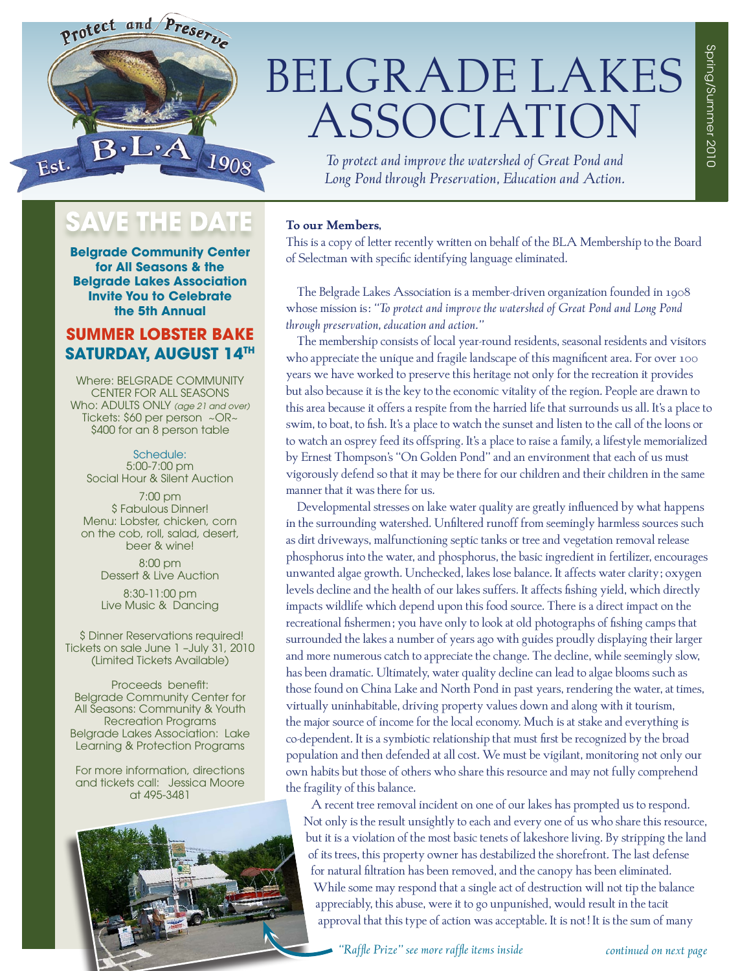

# BELGRADE LAKES ASSOCIATION

*To protect and improve the watershed of Great Pond and Long Pond through Preservation, Education and Action.*

# SAVE THE DATE

**Belgrade Community Center for All Seasons & the Belgrade Lakes Association Invite You to Celebrate the 5th Annual** 

# **SUMMER LOBSTER BAKE Saturday, August 14th**

Where: BELGRADE COMMUNITY CENTER FOR ALL SEASONS Who: ADULTS ONLY *(age 21 and over)*  Tickets: \$60 per person ~OR~ \$400 for an 8 person table

Schedule: 5:00-7:00 pm Social Hour & Silent Auction

7:00 pm \$ Fabulous Dinner! Menu: Lobster, chicken, corn on the cob, roll, salad, desert, beer & wine!

> 8:00 pm Dessert & Live Auction

> 8:30-11:00 pm Live Music & Dancing

 \$ Dinner Reservations required! Tickets on sale June 1 –July 31, 2010 (Limited Tickets Available)

Proceeds benefit: Belgrade Community Center for All Seasons: Community & Youth Recreation Programs Belgrade Lakes Association: Lake Learning & Protection Programs

For more information, directions and tickets call: Jessica Moore at 495-3481



### **To our Members,**

This is a copy of letter recently written on behalf of the BLA Membership to the Board of Selectman with specific identifying language eliminated.

The Belgrade Lakes Association is a member-driven organization founded in 1908 whose mission is: *"To protect and improve the watershed of Great Pond and Long Pond through preservation, education and action."*

The membership consists of local year-round residents, seasonal residents and visitors who appreciate the unique and fragile landscape of this magnificent area. For over 100 years we have worked to preserve this heritage not only for the recreation it provides but also because it is the key to the economic vitality of the region. People are drawn to this area because it offers a respite from the harried life that surrounds us all. It's a place to swim, to boat, to fish. It's a place to watch the sunset and listen to the call of the loons or to watch an osprey feed its offspring. It's a place to raise a family, a lifestyle memorialized by Ernest Thompson's "On Golden Pond" and an environment that each of us must vigorously defend so that it may be there for our children and their children in the same manner that it was there for us.

Developmental stresses on lake water quality are greatly influenced by what happens in the surrounding watershed. Unfiltered runoff from seemingly harmless sources such as dirt driveways, malfunctioning septic tanks or tree and vegetation removal release phosphorus into the water, and phosphorus, the basic ingredient in fertilizer, encourages unwanted algae growth. Unchecked, lakes lose balance. It affects water clarity; oxygen levels decline and the health of our lakes suffers. It affects fishing yield, which directly impacts wildlife which depend upon this food source. There is a direct impact on the recreational fishermen; you have only to look at old photographs of fishing camps that surrounded the lakes a number of years ago with guides proudly displaying their larger and more numerous catch to appreciate the change. The decline, while seemingly slow, has been dramatic. Ultimately, water quality decline can lead to algae blooms such as those found on China Lake and North Pond in past years, rendering the water, at times, virtually uninhabitable, driving property values down and along with it tourism, the major source of income for the local economy. Much is at stake and everything is co-dependent. It is a symbiotic relationship that must first be recognized by the broad population and then defended at all cost. We must be vigilant, monitoring not only our own habits but those of others who share this resource and may not fully comprehend the fragility of this balance.

A recent tree removal incident on one of our lakes has prompted us to respond. Not only is the result unsightly to each and every one of us who share this resource, but it is a violation of the most basic tenets of lakeshore living. By stripping the land of its trees, this property owner has destabilized the shorefront. The last defense for natural filtration has been removed, and the canopy has been eliminated. While some may respond that a single act of destruction will not tip the balance appreciably, this abuse, were it to go unpunished, would result in the tacit approval that this type of action was acceptable. It is not! It is the sum of many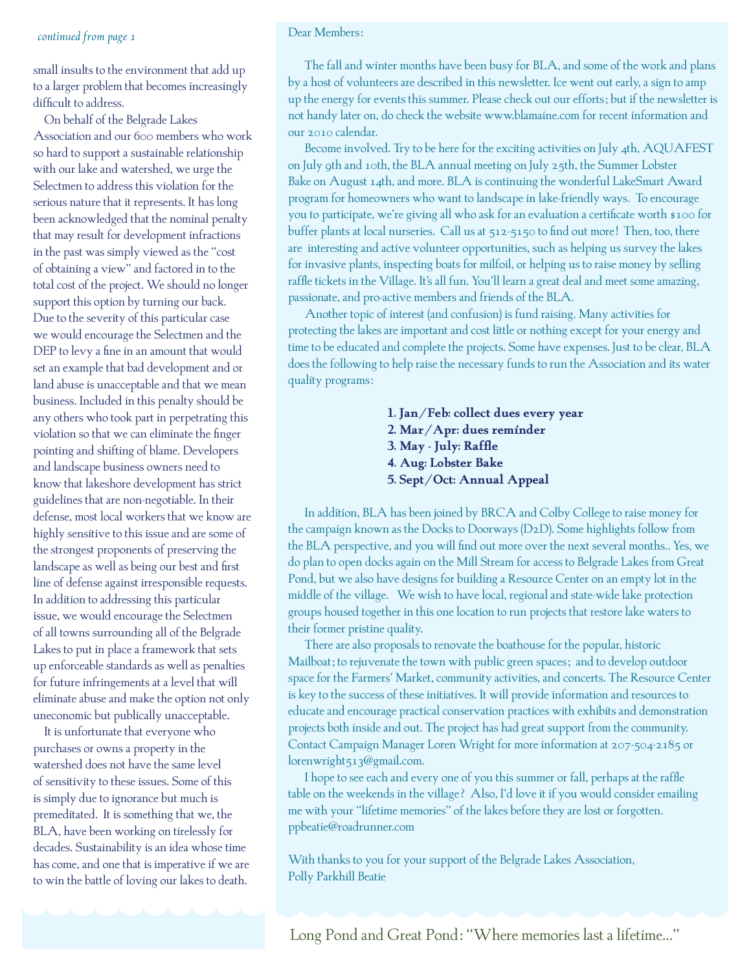### *continued from page 1*

small insults to the environment that add up to a larger problem that becomes increasingly difficult to address.

On behalf of the Belgrade Lakes Association and our 600 members who work so hard to support a sustainable relationship with our lake and watershed, we urge the Selectmen to address this violation for the serious nature that it represents. It has long been acknowledged that the nominal penalty that may result for development infractions in the past was simply viewed as the "cost of obtaining a view" and factored in to the total cost of the project. We should no longer support this option by turning our back. Due to the severity of this particular case we would encourage the Selectmen and the DEP to levy a fine in an amount that would set an example that bad development and or land abuse is unacceptable and that we mean business. Included in this penalty should be any others who took part in perpetrating this violation so that we can eliminate the finger pointing and shifting of blame. Developers and landscape business owners need to know that lakeshore development has strict guidelines that are non-negotiable. In their defense, most local workers that we know are highly sensitive to this issue and are some of the strongest proponents of preserving the landscape as well as being our best and first line of defense against irresponsible requests. In addition to addressing this particular issue, we would encourage the Selectmen of all towns surrounding all of the Belgrade Lakes to put in place a framework that sets up enforceable standards as well as penalties for future infringements at a level that will eliminate abuse and make the option not only uneconomic but publically unacceptable.

It is unfortunate that everyone who purchases or owns a property in the watershed does not have the same level of sensitivity to these issues. Some of this is simply due to ignorance but much is premeditated. It is something that we, the BLA, have been working on tirelessly for decades. Sustainability is an idea whose time has come, and one that is imperative if we are to win the battle of loving our lakes to death.

### Dear Members:

The fall and winter months have been busy for BLA, and some of the work and plans by a host of volunteers are described in this newsletter. Ice went out early, a sign to amp up the energy for events this summer. Please check out our efforts; but if the newsletter is not handy later on, do check the website www.blamaine.com for recent information and our 2010 calendar.

Become involved. Try to be here for the exciting activities on July 4th, AQUAFEST on July 9th and 10th, the BLA annual meeting on July 25th, the Summer Lobster Bake on August 14th, and more. BLA is continuing the wonderful LakeSmart Award program for homeowners who want to landscape in lake-friendly ways. To encourage you to participate, we're giving all who ask for an evaluation a certificate worth \$100 for buffer plants at local nurseries. Call us at 512-5150 to find out more! Then, too, there are interesting and active volunteer opportunities, such as helping us survey the lakes for invasive plants, inspecting boats for milfoil, or helping us to raise money by selling raffle tickets in the Village. It's all fun. You'll learn a great deal and meet some amazing, passionate, and pro-active members and friends of the BLA.

Another topic of interest (and confusion) is fund raising. Many activities for protecting the lakes are important and cost little or nothing except for your energy and time to be educated and complete the projects. Some have expenses. Just to be clear, BLA does the following to help raise the necessary funds to run the Association and its water quality programs:

> **1. Jan/Feb: collect dues every year 2. Mar/Apr: dues reminder 3. May - July: Raffle 4. Aug: Lobster Bake 5. Sept/Oct: Annual Appeal**

In addition, BLA has been joined by BRCA and Colby College to raise money for the campaign known as the Docks to Doorways (D2D). Some highlights follow from the BLA perspective, and you will find out more over the next several months.. Yes, we do plan to open docks again on the Mill Stream for access to Belgrade Lakes from Great Pond, but we also have designs for building a Resource Center on an empty lot in the middle of the village. We wish to have local, regional and state-wide lake protection groups housed together in this one location to run projects that restore lake waters to their former pristine quality.

There are also proposals to renovate the boathouse for the popular, historic Mailboat; to rejuvenate the town with public green spaces; and to develop outdoor space for the Farmers' Market, community activities, and concerts. The Resource Center is key to the success of these initiatives. It will provide information and resources to educate and encourage practical conservation practices with exhibits and demonstration projects both inside and out. The project has had great support from the community. Contact Campaign Manager Loren Wright for more information at 207-504-2185 or lorenwright513@gmail.com.

I hope to see each and every one of you this summer or fall, perhaps at the raffle table on the weekends in the village? Also, I'd love it if you would consider emailing me with your "lifetime memories" of the lakes before they are lost or forgotten. ppbeatie@roadrunner.com

With thanks to you for your support of the Belgrade Lakes Association, Polly Parkhill Beatie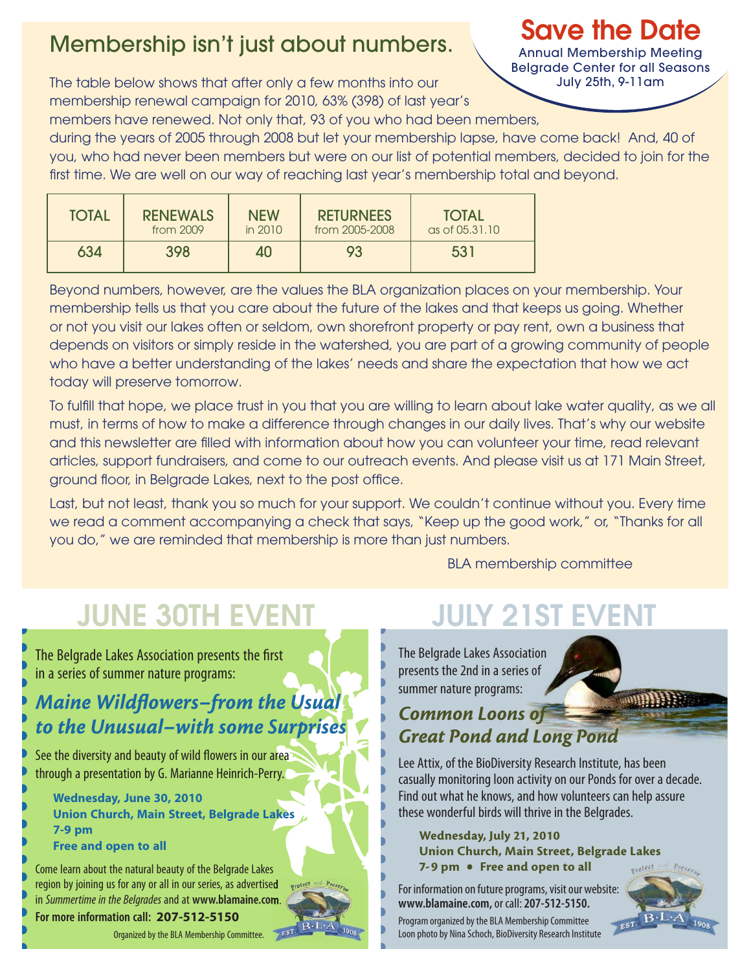# Membership isn't just about numbers.

The table below shows that after only a few months into our membership renewal campaign for 2010, 63% (398) of last year's members have renewed. Not only that, 93 of you who had been members,

during the years of 2005 through 2008 but let your membership lapse, have come back! And, 40 of you, who had never been members but were on our list of potential members, decided to join for the first time. We are well on our way of reaching last year's membership total and beyond.

| <b>TOTAL</b> | <b>RENEWALS</b> | <b>NEW</b> | <b>RETURNEES</b> | <b>TOTAL</b>           |
|--------------|-----------------|------------|------------------|------------------------|
|              | from 2009       | in 2010    | from 2005-2008   | $\alpha s$ of 05.31.10 |
| 634          | 398             | 40         | 93               | 531                    |

Beyond numbers, however, are the values the BLA organization places on your membership. Your membership tells us that you care about the future of the lakes and that keeps us going. Whether or not you visit our lakes often or seldom, own shorefront property or pay rent, own a business that depends on visitors or simply reside in the watershed, you are part of a growing community of people who have a better understanding of the lakes' needs and share the expectation that how we act today will preserve tomorrow.

To fulfill that hope, we place trust in you that you are willing to learn about lake water quality, as we all must, in terms of how to make a difference through changes in our daily lives. That's why our website and this newsletter are filled with information about how you can volunteer your time, read relevant articles, support fundraisers, and come to our outreach events. And please visit us at 171 Main Street, ground floor, in Belgrade Lakes, next to the post office.

Last, but not least, thank you so much for your support. We couldn't continue without you. Every time we read a comment accompanying a check that says, "Keep up the good work," or, "Thanks for all you do," we are reminded that membership is more than just numbers.

BLA membership committee

# JUNE 30TH EVENT JULY 21ST EVENT

The Belgrade Lakes Association presents the first in a series of summer nature programs:

# *Maine Wildflowers-from the Usual to the Unusual–with some Surprises*

See the diversity and beauty of wild flowers in our area through a presentation by G. Marianne Heinrich-Perry.

 **Wednesday, June 30, 2010 Union Church, Main Street, Belgrade Lakes 7-9 pm Free and open to all**

Come learn about the natural beauty of the Belgrade Lakes region by joining us for any or all in our series, as advertised protect in *Summertime in the Belgrades* and at **www.blamaine.com**.

**For more information call: 207-512-5150**

Organized by the BLA Membership Committee.

The Belgrade Lakes Association presents the 2nd in a series of summer nature programs:

# **WIDDEN STATE** *Common Loons of Great Pond and Long Pond*

Lee Attix, of the BioDiversity Research Institute, has been casually monitoring loon activity on our Ponds for over a decade. Find out what he knows, and how volunteers can help assure these wonderful birds will thrive in the Belgrades.

### Wednesday, July 21, 2010 Union Church, Main Street, Belgrade Lakes 7-9 pm • Free and open to all

For information on future programs, visit our website: **www.blamaine.com,** or call: **207-512-5150.** Program organized by the BLA Membership Committee Loon photo by Nina Schoch, BioDiversity Research Institute



# Save the Date

Annual Membership Meeting Belgrade Center for all Seasons July 25th, 9-11am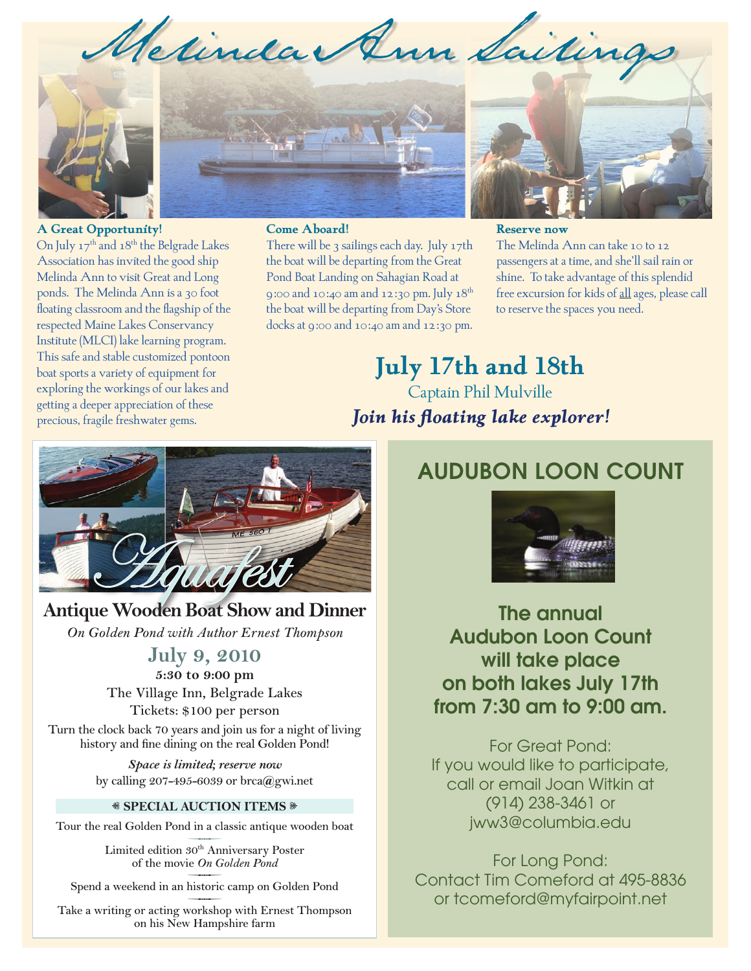Metinda Ann Saitin



### **A Great Opportunity!**

On July 17<sup>th</sup> and 18<sup>th</sup> the Belgrade Lakes Association has invited the good ship Melinda Ann to visit Great and Long ponds. The Melinda Ann is a 30 foot floating classroom and the flagship of the respected Maine Lakes Conservancy Institute (MLCI) lake learning program. This safe and stable customized pontoon boat sports a variety of equipment for exploring the workings of our lakes and getting a deeper appreciation of these precious, fragile freshwater gems.



### **Come Aboard!**

There will be 3 sailings each day. July 17th the boat will be departing from the Great Pond Boat Landing on Sahagian Road at 9:00 and 10:40 am and 12:30 pm. July 18th the boat will be departing from Day's Store docks at 9:00 and 10:40 am and 12:30 pm.



### **Reserve now**

The Melinda Ann can take 10 to 12 passengers at a time, and she'll sail rain or shine. To take advantage of this splendid free excursion for kids of all ages, please call to reserve the spaces you need.

**July 17th and 18th** Captain Phil Mulville *Join his floating lake explorer!*



# **Antique Wooden Boat Show and Dinner**

*On Golden Pond with Author Ernest Thompson* 

# **July 9, 2010**

**5:30 to 9:00 pm The Village Inn, Belgrade Lakes Tickets: \$100 per person**

**Turn the clock back 70 years and join us for a night of living history and fine dining on the real Golden Pond!** 

> *Space is limited; reserve now*  **by calling 207-495-6039 or brca@gwi.net**

### $\textcircled{*}$  **SPECIAL AUCTION ITEMS**  $\textcircled{*}$

Tour the real Golden Pond in a classic antique wooden boat<br>
Limited edition  $30^{\text{th}}$  Anniversary Poster

**of the movie** *On Golden Pond* Limited edition 30<sup>th</sup> Anniversary Poster<br>of the movie *On Golden Pond*<br>Spend a weekend in an historic camp on Golden Pond

Take a writing or acting workshop with Ernest Thompson **on his New Hampshire farm**

# AUDUBON LOON COUNT



The annual Audubon Loon Count will take place on both lakes July 17th from 7:30 am to 9:00 am.

For Great Pond: If you would like to participate, call or email Joan Witkin at (914) 238-3461 or jww3@columbia.edu

For Long Pond: Contact Tim Comeford at 495-8836 or tcomeford@myfairpoint.net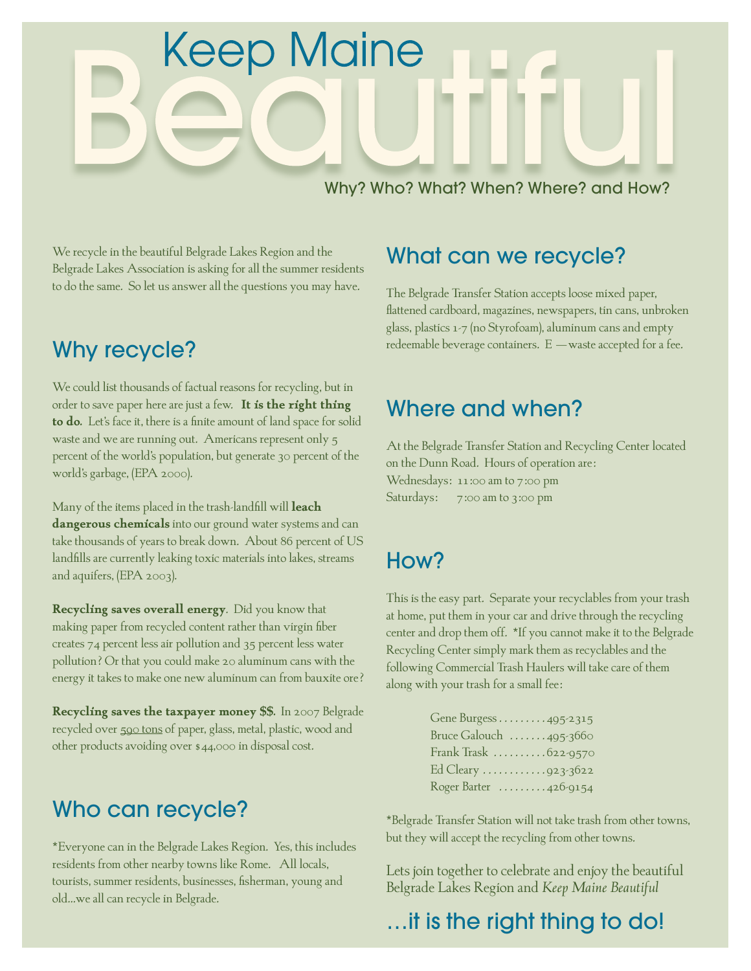# **Keep Maine**

Why? Who? What? When? Where? and How?

We recycle in the beautiful Belgrade Lakes Region and the Belgrade Lakes Association is asking for all the summer residents to do the same. So let us answer all the questions you may have.

# Why recycle?

We could list thousands of factual reasons for recycling, but in order to save paper here are just a few. **It is the right thing to do.** Let's face it, there is a finite amount of land space for solid waste and we are running out. Americans represent only 5 percent of the world's population, but generate 30 percent of the world's garbage, (EPA 2000).

Many of the items placed in the trash-landfill will **leach dangerous chemicals** into our ground water systems and can take thousands of years to break down. About 86 percent of US landfills are currently leaking toxic materials into lakes, streams and aquifers, (EPA 2003).

**Recycling saves overall energy**. Did you know that making paper from recycled content rather than virgin fiber creates 74 percent less air pollution and 35 percent less water pollution? Or that you could make 20 aluminum cans with the energy it takes to make one new aluminum can from bauxite ore?

**Recycling saves the taxpayer money \$\$.** In 2007 Belgrade recycled over 590 tons of paper, glass, metal, plastic, wood and other products avoiding over \$44,000 in disposal cost.

# Who can recycle?

\*Everyone can in the Belgrade Lakes Region. Yes, this includes residents from other nearby towns like Rome. All locals, tourists, summer residents, businesses, fisherman, young and old…we all can recycle in Belgrade.

# What can we recycle?

The Belgrade Transfer Station accepts loose mixed paper, flattened cardboard, magazines, newspapers, tin cans, unbroken glass, plastics 1-7 (no Styrofoam), aluminum cans and empty redeemable beverage containers. E - waste accepted for a fee.

# Where and when?

At the Belgrade Transfer Station and Recycling Center located on the Dunn Road. Hours of operation are: Wednesdays: 11:00 am to 7:00 pm Saturdays: 7:00 am to 3:00 pm

# How?

This is the easy part. Separate your recyclables from your trash at home, put them in your car and drive through the recycling center and drop them off. \*If you cannot make it to the Belgrade Recycling Center simply mark them as recyclables and the following Commercial Trash Haulers will take care of them along with your trash for a small fee:

| Gene Burgess 495 2315                        |
|----------------------------------------------|
| Bruce Galouch $\ldots \ldots$ 495-3660       |
| Frank Trask 622-9570                         |
| Ed Cleary 923.3622                           |
| Roger Barter $\ldots \ldots \ldots$ 426-9154 |

\*Belgrade Transfer Station will not take trash from other towns, but they will accept the recycling from other towns.

Lets join together to celebrate and enjoy the beautiful Belgrade Lakes Region and *Keep Maine Beautiful* 

# …it is the right thing to do!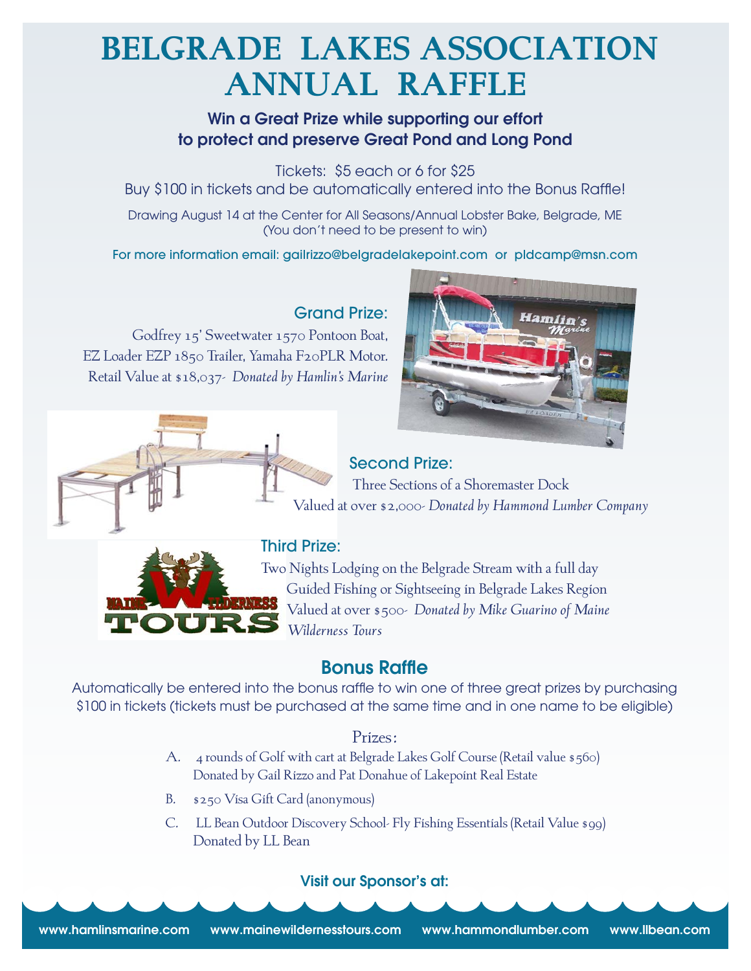# **Belgrade Lakes Association Annual Raffle**

# Win a Great Prize while supporting our effort to protect and preserve Great Pond and Long Pond

Tickets: \$5 each or 6 for \$25 Buy \$100 in tickets and be automatically entered into the Bonus Raffle!

Drawing August 14 at the Center for All Seasons/Annual Lobster Bake, Belgrade, ME (You don't need to be present to win)

For more information email: gailrizzo@belgradelakepoint.com or pldcamp@msn.com

# Grand Prize:

Godfrey 15' Sweetwater 1570 Pontoon Boat, EZ Loader EZP 1850 Trailer, Yamaha F20PLR Motor. Retail Value at \$18,037- *Donated by Hamlin's Marine*



# Second Prize:

 Three Sections of a Shoremaster Dock Valued at over \$2,000- *Donated by Hammond Lumber Company*

# Third Prize:

Two Nights Lodging on the Belgrade Stream with a full day Guided Fishing or Sightseeing in Belgrade Lakes Region Valued at over \$500- *Donated by Mike Guarino of Maine Wilderness Tours*

# Bonus Raffle

Automatically be entered into the bonus raffle to win one of three great prizes by purchasing \$100 in tickets (tickets must be purchased at the same time and in one name to be eligible)

# Prizes:

- A. 4 rounds of Golf with cart at Belgrade Lakes Golf Course (Retail value \$560) Donated by Gail Rizzo and Pat Donahue of Lakepoint Real Estate
- B. \$250 Visa Gift Card (anonymous)
- C. LL Bean Outdoor Discovery School- Fly Fishing Essentials (Retail Value \$99) Donated by LL Bean

# Visit our Sponsor's at:

www.hamlinsmarine.com www.mainewildernesstours.com www.hammondlumber.com www.llbean.com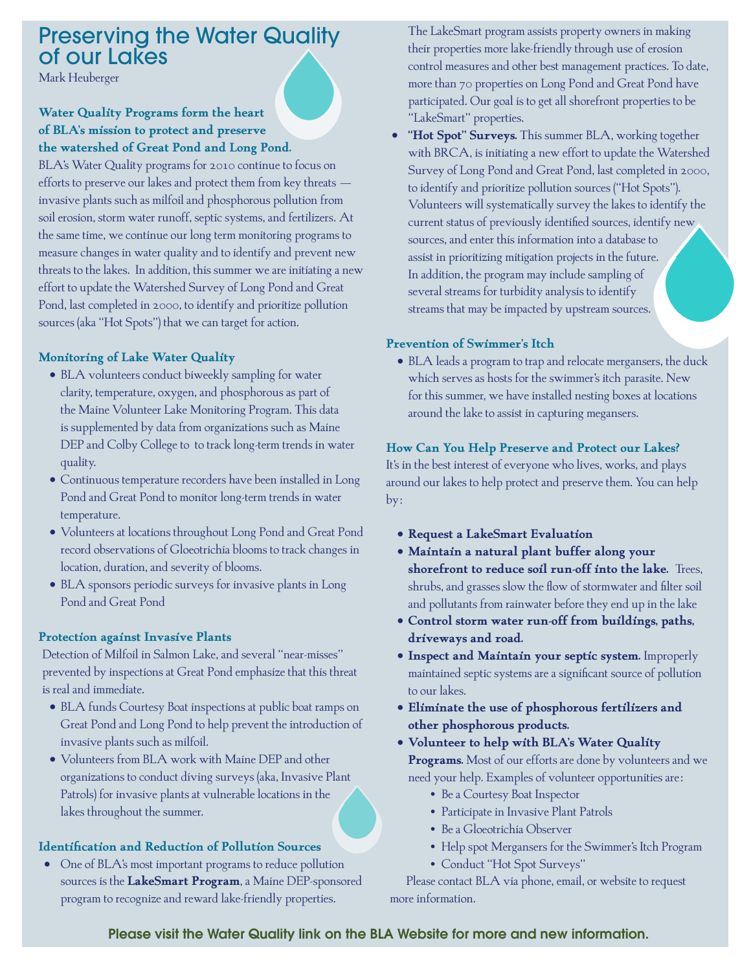# Preserving the Water Quality of our Lakes

Mark Heuberger

# **Water Quality Programs form the heart of BLA's mission to protect and preserve the watershed of Great Pond and Long Pond.**

BLA's Water Quality programs for 2010 continue to focus on efforts to preserve our lakes and protect them from key threats – invasive plants such as milfoil and phosphorous pollution from soil erosion, storm water runoff, septic systems, and fertilizers. At the same time, we continue our long term monitoring programs to measure changes in water quality and to identify and prevent new threats to the lakes. In addition, this summer we are initiating a new effort to update the Watershed Survey of Long Pond and Great Pond, last completed in 2000, to identify and prioritize pollution sources (aka "Hot Spots") that we can target for action.

## **Monitoring of Lake Water Quality**

- BLA volunteers conduct biweekly sampling for water clarity, temperature, oxygen, and phosphorous as part of the Maine Volunteer Lake Monitoring Program. This data is supplemented by data from organizations such as Maine DEP and Colby College to to track long-term trends in water quality.
- • Continuous temperature recorders have been installed in Long Pond and Great Pond to monitor long-term trends in water temperature.
- • Volunteers at locations throughout Long Pond and Great Pond record observations of Gloeotrichia blooms to track changes in location, duration, and severity of blooms.
- BLA sponsors periodic surveys for invasive plants in Long Pond and Great Pond

### **Protection against Invasive Plants**

Detection of Milfoil in Salmon Lake, and several "near-misses" prevented by inspections at Great Pond emphasize that this threat is real and immediate.

- BLA funds Courtesy Boat inspections at public boat ramps on Great Pond and Long Pond to help prevent the introduction of invasive plants such as milfoil.
- • Volunteers from BLA work with Maine DEP and other organizations to conduct diving surveys (aka, Invasive Plant Patrols) for invasive plants at vulnerable locations in the lakes throughout the summer.

### **Identification and Reduction of Pollution Sources**

• One of BLA's most important programs to reduce pollution sources is the **LakeSmart Program**, a Maine DEP-sponsored program to recognize and reward lake-friendly properties.

The LakeSmart program assists property owners in making their properties more lake-friendly through use of erosion control measures and other best management practices. To date, more than 70 properties on Long Pond and Great Pond have participated. Our goal is to get all shorefront properties to be "LakeSmart" properties.

• **"Hot Spot" Surveys.** This summer BLA, working together with BRCA, is initiating a new effort to update the Watershed Survey of Long Pond and Great Pond, last completed in 2000, to identify and prioritize pollution sources ("Hot Spots"). Volunteers will systematically survey the lakes to identify the current status of previously identified sources, identify new sources, and enter this information into a database to assist in prioritizing mitigation projects in the future. In addition, the program may include sampling of several streams for turbidity analysis to identify streams that may be impacted by upstream sources.

### **Prevention of Swimmer's Itch**

• BLA leads a program to trap and relocate mergansers, the duck which serves as hosts for the swimmer's itch parasite. New for this summer, we have installed nesting boxes at locations around the lake to assist in capturing megansers.

### **How Can You Help Preserve and Protect our Lakes?**

It's in the best interest of everyone who lives, works, and plays around our lakes to help protect and preserve them. You can help by:

- • **Request a LakeSmart Evaluation**
- • **Maintain a natural plant buffer along your shorefront to reduce soil run-off into the lake.** Trees, shrubs, and grasses slow the flow of stormwater and filter soil and pollutants from rainwater before they end up in the lake
- • **Control storm water run-off from buildings, paths, driveways and road.**
- • **Inspect and Maintain your septic system.** Improperly maintained septic systems are a significant source of pollution to our lakes.
- • **Eliminate the use of phosphorous fertilizers and other phosphorous products.**
- • **Volunteer to help with BLA's Water Quality Programs.** Most of our efforts are done by volunteers and we need your help. Examples of volunteer opportunities are:
	- Be a Courtesy Boat Inspector
	- Participate in Invasive Plant Patrols
	- Be a Gloeotrichia Observer
	- Help spot Mergansers for the Swimmer's Itch Program
	- Conduct "Hot Spot Surveys"

 Please contact BLA via phone, email, or website to request more information.

Please visit the Water Quality link on the BLA Website for more and new information.